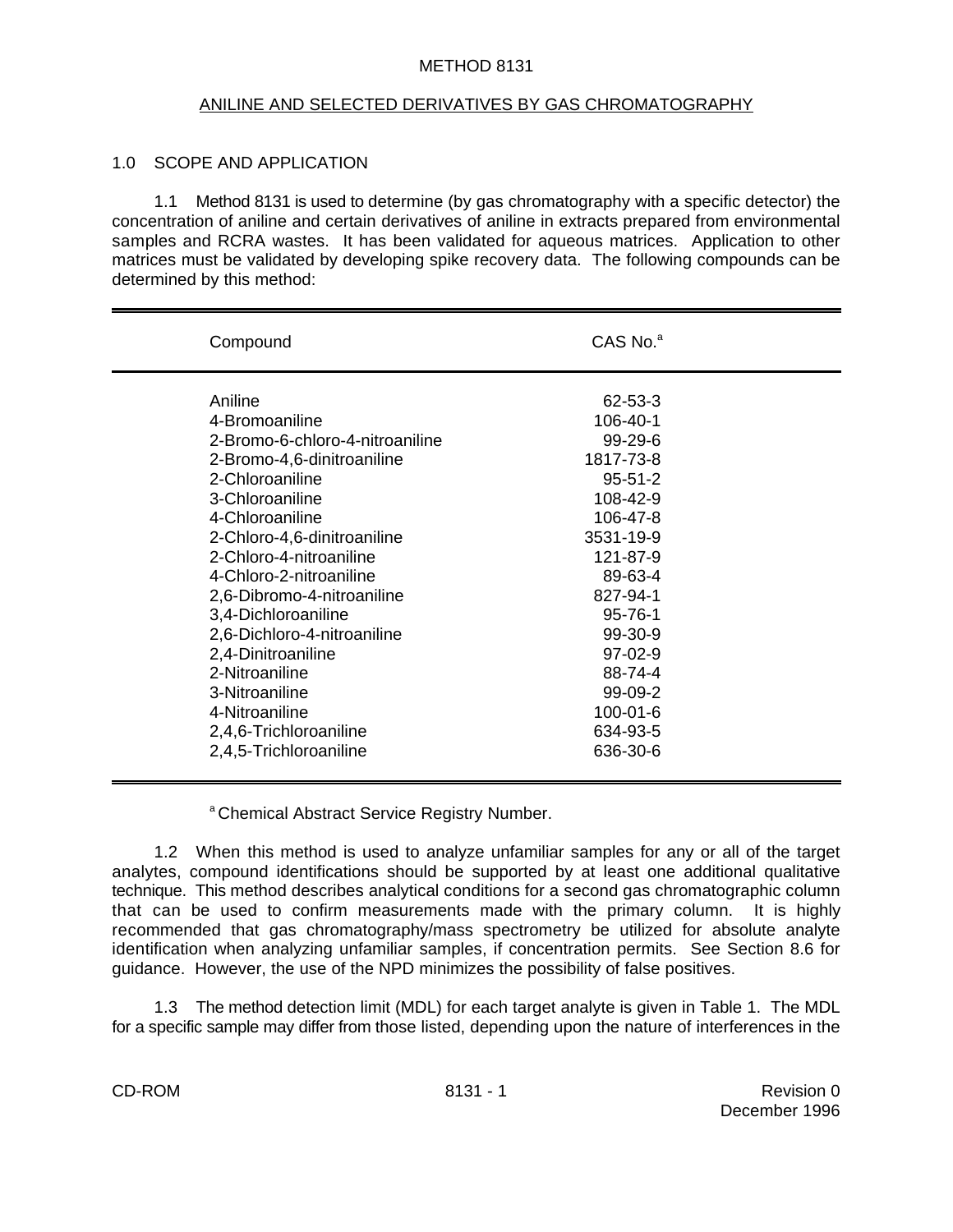#### METHOD 8131

#### ANILINE AND SELECTED DERIVATIVES BY GAS CHROMATOGRAPHY

#### 1.0 SCOPE AND APPLICATION

1.1 Method 8131 is used to determine (by gas chromatography with a specific detector) the concentration of aniline and certain derivatives of aniline in extracts prepared from environmental samples and RCRA wastes. It has been validated for aqueous matrices. Application to other matrices must be validated by developing spike recovery data. The following compounds can be determined by this method:

| Compound                        | $CAS$ No. $a$  |  |
|---------------------------------|----------------|--|
| Aniline                         | 62-53-3        |  |
| 4-Bromoaniline                  | 106-40-1       |  |
| 2-Bromo-6-chloro-4-nitroaniline | $99 - 29 - 6$  |  |
| 2-Bromo-4,6-dinitroaniline      | 1817-73-8      |  |
| 2-Chloroaniline                 | $95 - 51 - 2$  |  |
| 3-Chloroaniline                 | 108-42-9       |  |
| 4-Chloroaniline                 | 106-47-8       |  |
| 2-Chloro-4,6-dinitroaniline     | 3531-19-9      |  |
| 2-Chloro-4-nitroaniline         | 121-87-9       |  |
| 4-Chloro-2-nitroaniline         | 89-63-4        |  |
| 2,6-Dibromo-4-nitroaniline      | 827-94-1       |  |
| 3,4-Dichloroaniline             | $95 - 76 - 1$  |  |
| 2,6-Dichloro-4-nitroaniline     | $99-30-9$      |  |
| 2,4-Dinitroaniline              | $97-02-9$      |  |
| 2-Nitroaniline                  | 88-74-4        |  |
| 3-Nitroaniline                  | $99-09-2$      |  |
| 4-Nitroaniline                  | $100 - 01 - 6$ |  |
| 2,4,6-Trichloroaniline          | 634-93-5       |  |
| 2,4,5-Trichloroaniline          | 636-30-6       |  |
|                                 |                |  |

<sup>a</sup> Chemical Abstract Service Registry Number.

1.2 When this method is used to analyze unfamiliar samples for any or all of the target analytes, compound identifications should be supported by at least one additional qualitative technique. This method describes analytical conditions for a second gas chromatographic column that can be used to confirm measurements made with the primary column. It is highly recommended that gas chromatography/mass spectrometry be utilized for absolute analyte identification when analyzing unfamiliar samples, if concentration permits. See Section 8.6 for guidance. However, the use of the NPD minimizes the possibility of false positives.

1.3 The method detection limit (MDL) for each target analyte is given in Table 1. The MDL for a specific sample may differ from those listed, depending upon the nature of interferences in the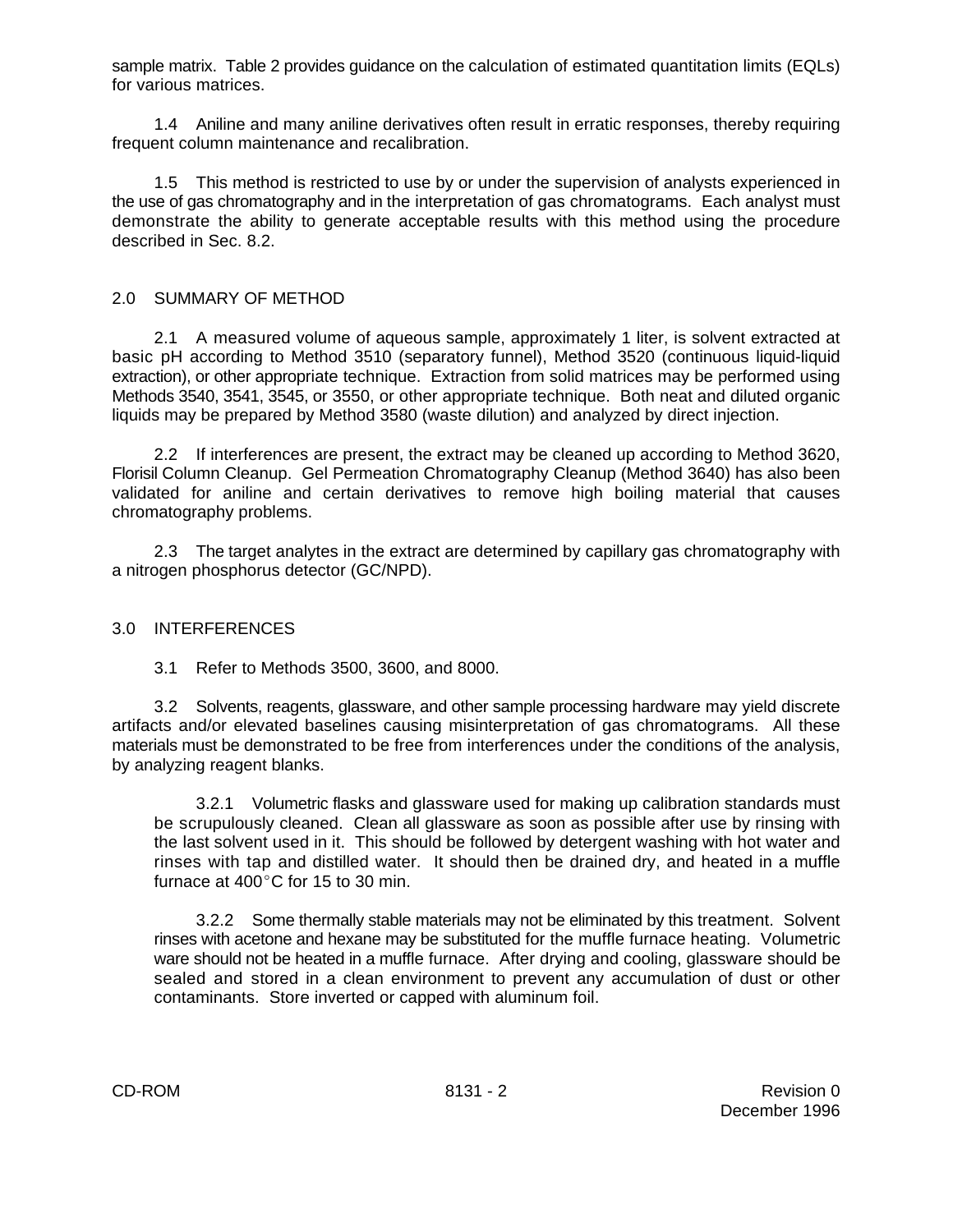sample matrix. Table 2 provides guidance on the calculation of estimated quantitation limits (EQLs) for various matrices.

1.4 Aniline and many aniline derivatives often result in erratic responses, thereby requiring frequent column maintenance and recalibration.

1.5 This method is restricted to use by or under the supervision of analysts experienced in the use of gas chromatography and in the interpretation of gas chromatograms. Each analyst must demonstrate the ability to generate acceptable results with this method using the procedure described in Sec. 8.2.

## 2.0 SUMMARY OF METHOD

2.1 A measured volume of aqueous sample, approximately 1 liter, is solvent extracted at basic pH according to Method 3510 (separatory funnel), Method 3520 (continuous liquid-liquid extraction), or other appropriate technique. Extraction from solid matrices may be performed using Methods 3540, 3541, 3545, or 3550, or other appropriate technique. Both neat and diluted organic liquids may be prepared by Method 3580 (waste dilution) and analyzed by direct injection.

2.2 If interferences are present, the extract may be cleaned up according to Method 3620, Florisil Column Cleanup. Gel Permeation Chromatography Cleanup (Method 3640) has also been validated for aniline and certain derivatives to remove high boiling material that causes chromatography problems.

2.3 The target analytes in the extract are determined by capillary gas chromatography with a nitrogen phosphorus detector (GC/NPD).

#### 3.0 INTERFERENCES

3.1 Refer to Methods 3500, 3600, and 8000.

3.2 Solvents, reagents, glassware, and other sample processing hardware may yield discrete artifacts and/or elevated baselines causing misinterpretation of gas chromatograms. All these materials must be demonstrated to be free from interferences under the conditions of the analysis, by analyzing reagent blanks.

3.2.1 Volumetric flasks and glassware used for making up calibration standards must be scrupulously cleaned. Clean all glassware as soon as possible after use by rinsing with the last solvent used in it. This should be followed by detergent washing with hot water and rinses with tap and distilled water. It should then be drained dry, and heated in a muffle furnace at  $400^{\circ}$ C for 15 to 30 min.

3.2.2 Some thermally stable materials may not be eliminated by this treatment. Solvent rinses with acetone and hexane may be substituted for the muffle furnace heating. Volumetric ware should not be heated in a muffle furnace. After drying and cooling, glassware should be sealed and stored in a clean environment to prevent any accumulation of dust or other contaminants. Store inverted or capped with aluminum foil.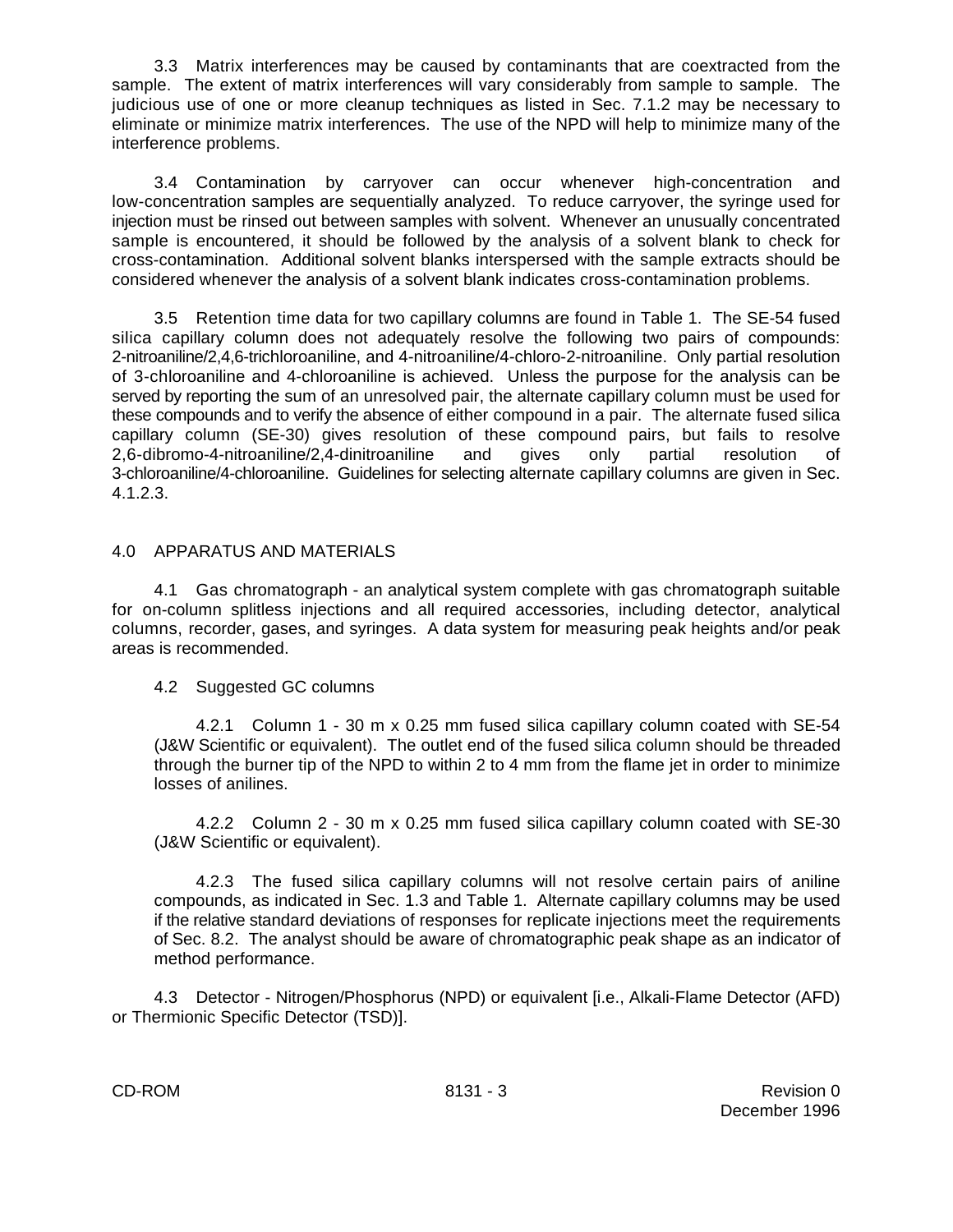3.3 Matrix interferences may be caused by contaminants that are coextracted from the sample. The extent of matrix interferences will vary considerably from sample to sample. The judicious use of one or more cleanup techniques as listed in Sec. 7.1.2 may be necessary to eliminate or minimize matrix interferences. The use of the NPD will help to minimize many of the interference problems.

3.4 Contamination by carryover can occur whenever high-concentration and low-concentration samples are sequentially analyzed. To reduce carryover, the syringe used for injection must be rinsed out between samples with solvent. Whenever an unusually concentrated sample is encountered, it should be followed by the analysis of a solvent blank to check for cross-contamination. Additional solvent blanks interspersed with the sample extracts should be considered whenever the analysis of a solvent blank indicates cross-contamination problems.

3.5 Retention time data for two capillary columns are found in Table 1. The SE-54 fused silica capillary column does not adequately resolve the following two pairs of compounds: 2-nitroaniline/2,4,6-trichloroaniline, and 4-nitroaniline/4-chloro-2-nitroaniline. Only partial resolution of 3-chloroaniline and 4-chloroaniline is achieved. Unless the purpose for the analysis can be served by reporting the sum of an unresolved pair, the alternate capillary column must be used for these compounds and to verify the absence of either compound in a pair. The alternate fused silica capillary column (SE-30) gives resolution of these compound pairs, but fails to resolve 2,6-dibromo-4-nitroaniline/2,4-dinitroaniline and gives only partial resolution of 3-chloroaniline/4-chloroaniline. Guidelines for selecting alternate capillary columns are given in Sec. 4.1.2.3.

## 4.0 APPARATUS AND MATERIALS

4.1 Gas chromatograph - an analytical system complete with gas chromatograph suitable for on-column splitless injections and all required accessories, including detector, analytical columns, recorder, gases, and syringes. A data system for measuring peak heights and/or peak areas is recommended.

4.2 Suggested GC columns

4.2.1 Column 1 - 30 m x 0.25 mm fused silica capillary column coated with SE-54 (J&W Scientific or equivalent). The outlet end of the fused silica column should be threaded through the burner tip of the NPD to within 2 to 4 mm from the flame jet in order to minimize losses of anilines.

4.2.2 Column 2 - 30 m x 0.25 mm fused silica capillary column coated with SE-30 (J&W Scientific or equivalent).

4.2.3 The fused silica capillary columns will not resolve certain pairs of aniline compounds, as indicated in Sec. 1.3 and Table 1. Alternate capillary columns may be used if the relative standard deviations of responses for replicate injections meet the requirements of Sec. 8.2. The analyst should be aware of chromatographic peak shape as an indicator of method performance.

4.3 Detector - Nitrogen/Phosphorus (NPD) or equivalent [i.e., Alkali-Flame Detector (AFD) or Thermionic Specific Detector (TSD)].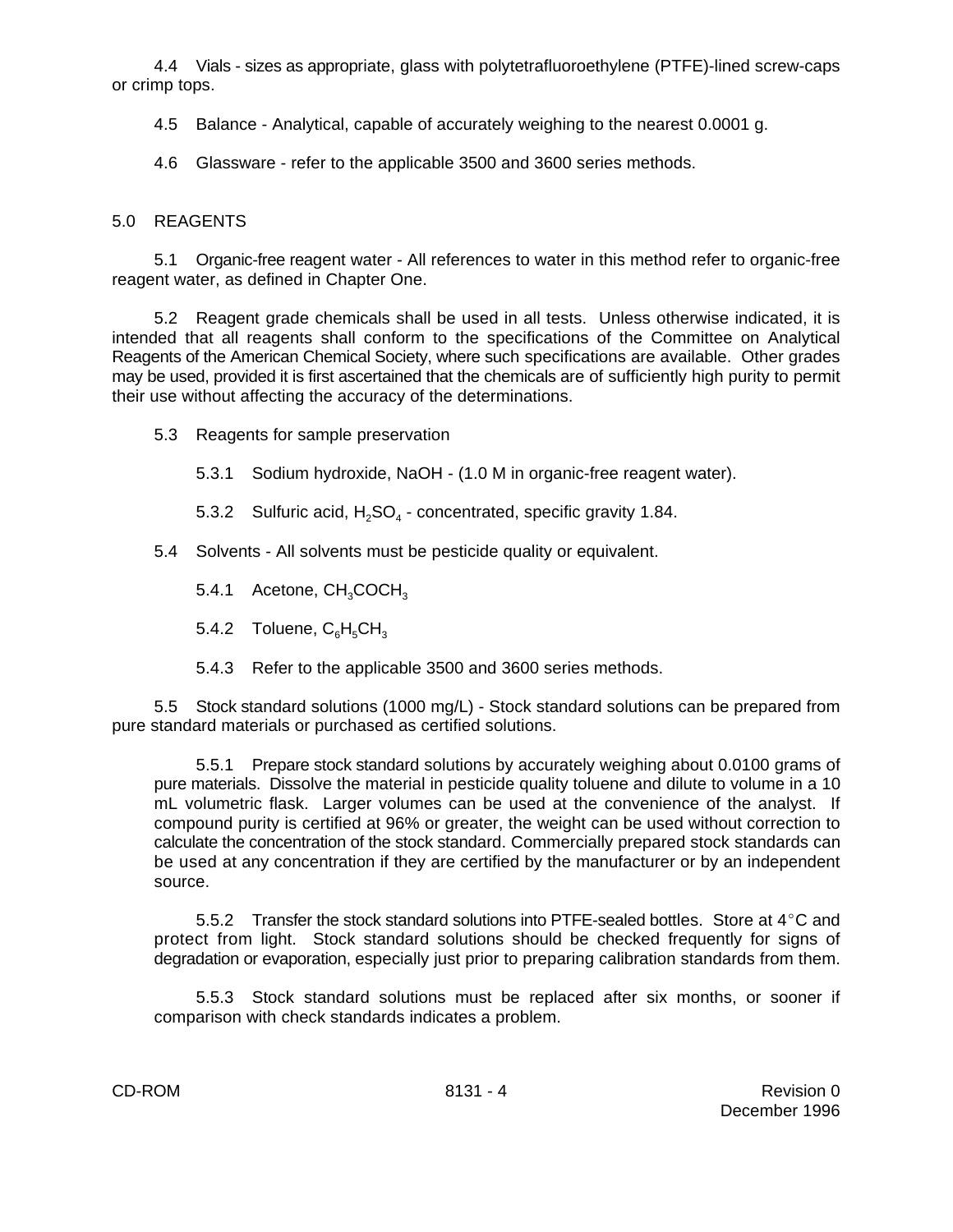4.4 Vials - sizes as appropriate, glass with polytetrafluoroethylene (PTFE)-lined screw-caps or crimp tops.

4.5 Balance - Analytical, capable of accurately weighing to the nearest 0.0001 g.

4.6 Glassware - refer to the applicable 3500 and 3600 series methods.

# 5.0 REAGENTS

5.1 Organic-free reagent water - All references to water in this method refer to organic-free reagent water, as defined in Chapter One.

5.2 Reagent grade chemicals shall be used in all tests. Unless otherwise indicated, it is intended that all reagents shall conform to the specifications of the Committee on Analytical Reagents of the American Chemical Society, where such specifications are available. Other grades may be used, provided it is first ascertained that the chemicals are of sufficiently high purity to permit their use without affecting the accuracy of the determinations.

5.3 Reagents for sample preservation

5.3.1 Sodium hydroxide, NaOH - (1.0 M in organic-free reagent water).

5.3.2 Sulfuric acid,  $H_2SO_4$  - concentrated, specific gravity 1.84.

5.4 Solvents - All solvents must be pesticide quality or equivalent.

5.4.1 Acetone,  $CH<sub>3</sub>COCH<sub>3</sub>$ 

5.4.2 Toluene,  $C_6H_5CH_3$ 

5.4.3 Refer to the applicable 3500 and 3600 series methods.

5.5 Stock standard solutions (1000 mg/L) - Stock standard solutions can be prepared from pure standard materials or purchased as certified solutions.

5.5.1 Prepare stock standard solutions by accurately weighing about 0.0100 grams of pure materials. Dissolve the material in pesticide quality toluene and dilute to volume in a 10 mL volumetric flask. Larger volumes can be used at the convenience of the analyst. If compound purity is certified at 96% or greater, the weight can be used without correction to calculate the concentration of the stock standard. Commercially prepared stock standards can be used at any concentration if they are certified by the manufacturer or by an independent source.

5.5.2 Transfer the stock standard solutions into PTFE-sealed bottles. Store at  $4^{\circ}$ C and protect from light. Stock standard solutions should be checked frequently for signs of degradation or evaporation, especially just prior to preparing calibration standards from them.

5.5.3 Stock standard solutions must be replaced after six months, or sooner if comparison with check standards indicates a problem.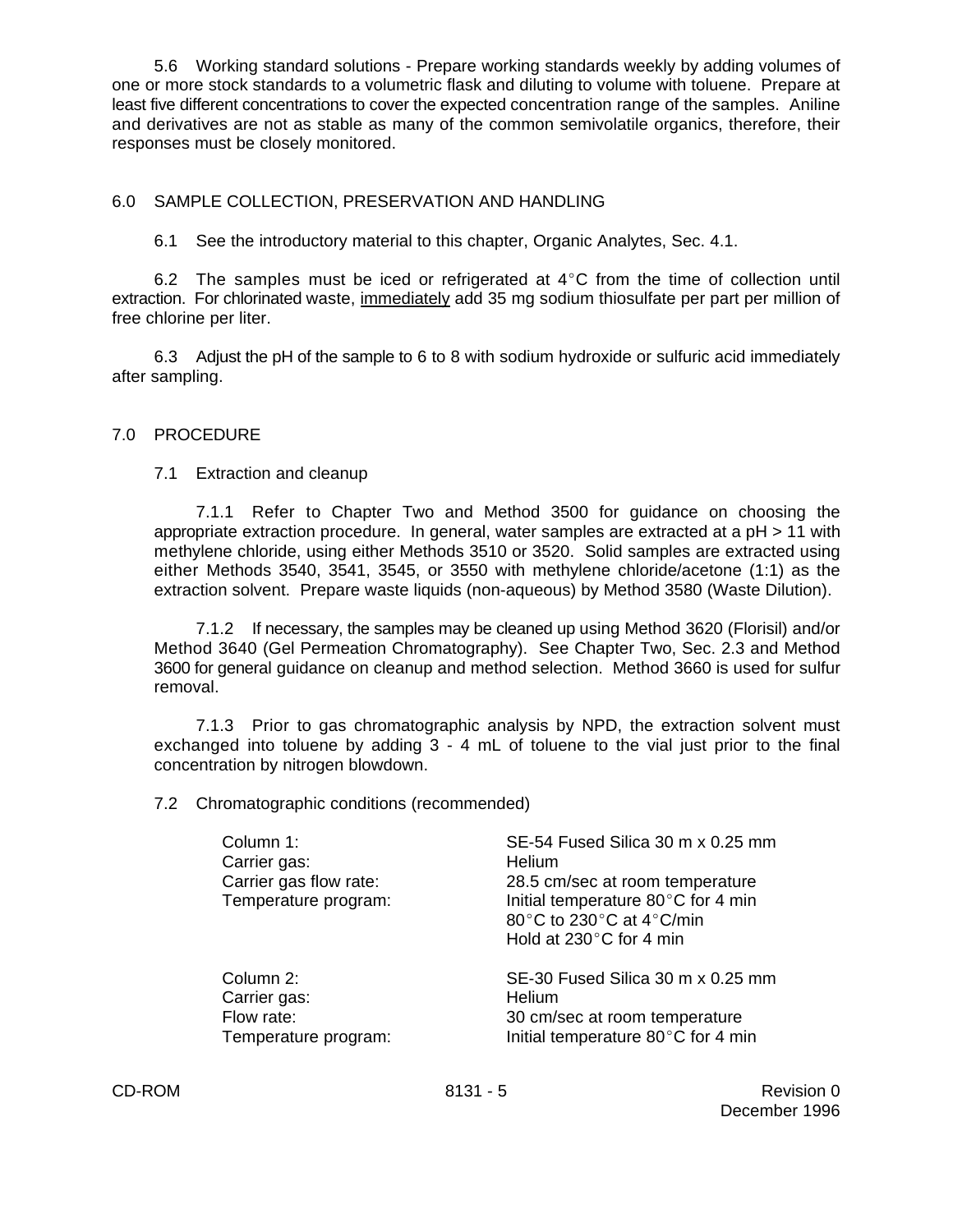5.6 Working standard solutions - Prepare working standards weekly by adding volumes of one or more stock standards to a volumetric flask and diluting to volume with toluene. Prepare at least five different concentrations to cover the expected concentration range of the samples. Aniline and derivatives are not as stable as many of the common semivolatile organics, therefore, their responses must be closely monitored.

#### 6.0 SAMPLE COLLECTION, PRESERVATION AND HANDLING

6.1 See the introductory material to this chapter, Organic Analytes, Sec. 4.1.

6.2 The samples must be iced or refrigerated at  $4^{\circ}$ C from the time of collection until extraction. For chlorinated waste, immediately add 35 mg sodium thiosulfate per part per million of free chlorine per liter.

6.3 Adjust the pH of the sample to 6 to 8 with sodium hydroxide or sulfuric acid immediately after sampling.

#### 7.0 PROCEDURE

7.1 Extraction and cleanup

7.1.1 Refer to Chapter Two and Method 3500 for guidance on choosing the appropriate extraction procedure. In general, water samples are extracted at a pH > 11 with methylene chloride, using either Methods 3510 or 3520. Solid samples are extracted using either Methods 3540, 3541, 3545, or 3550 with methylene chloride/acetone (1:1) as the extraction solvent. Prepare waste liquids (non-aqueous) by Method 3580 (Waste Dilution).

7.1.2 If necessary, the samples may be cleaned up using Method 3620 (Florisil) and/or Method 3640 (Gel Permeation Chromatography). See Chapter Two, Sec. 2.3 and Method 3600 for general guidance on cleanup and method selection. Method 3660 is used for sulfur removal.

7.1.3 Prior to gas chromatographic analysis by NPD, the extraction solvent must exchanged into toluene by adding 3 - 4 mL of toluene to the vial just prior to the final concentration by nitrogen blowdown.

7.2 Chromatographic conditions (recommended)

| Column 1:<br>Carrier gas:<br>Carrier gas flow rate:<br>Temperature program: | SE-54 Fused Silica 30 m x 0.25 mm<br>Helium<br>28.5 cm/sec at room temperature<br>Initial temperature 80°C for 4 min<br>80°C to 230°C at 4°C/min<br>Hold at $230^{\circ}$ C for 4 min |
|-----------------------------------------------------------------------------|---------------------------------------------------------------------------------------------------------------------------------------------------------------------------------------|
| Column 2:                                                                   | SE-30 Fused Silica 30 m x 0.25 mm                                                                                                                                                     |
| Carrier gas:                                                                | Helium                                                                                                                                                                                |
| Flow rate:                                                                  | 30 cm/sec at room temperature                                                                                                                                                         |
| Temperature program:                                                        | Initial temperature 80°C for 4 min                                                                                                                                                    |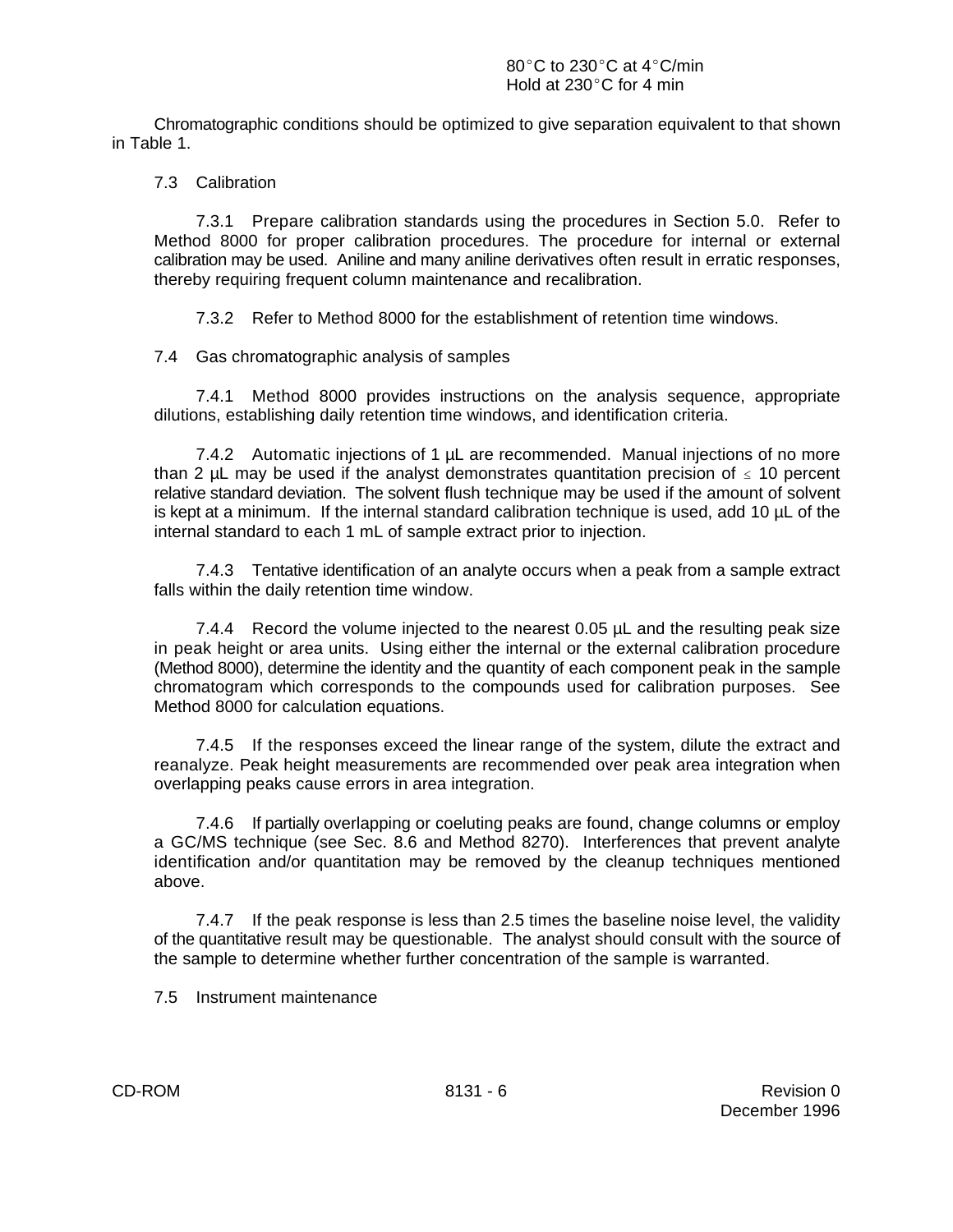Chromatographic conditions should be optimized to give separation equivalent to that shown in Table 1.

#### 7.3 Calibration

7.3.1 Prepare calibration standards using the procedures in Section 5.0. Refer to Method 8000 for proper calibration procedures. The procedure for internal or external calibration may be used. Aniline and many aniline derivatives often result in erratic responses, thereby requiring frequent column maintenance and recalibration.

7.3.2 Refer to Method 8000 for the establishment of retention time windows.

7.4 Gas chromatographic analysis of samples

7.4.1 Method 8000 provides instructions on the analysis sequence, appropriate dilutions, establishing daily retention time windows, and identification criteria.

7.4.2 Automatic injections of 1 µL are recommended. Manual injections of no more than 2 µL may be used if the analyst demonstrates quantitation precision of  $\leq 10$  percent relative standard deviation. The solvent flush technique may be used if the amount of solvent is kept at a minimum. If the internal standard calibration technique is used, add 10 µL of the internal standard to each 1 mL of sample extract prior to injection.

7.4.3 Tentative identification of an analyte occurs when a peak from a sample extract falls within the daily retention time window.

7.4.4 Record the volume injected to the nearest 0.05 µL and the resulting peak size in peak height or area units. Using either the internal or the external calibration procedure (Method 8000), determine the identity and the quantity of each component peak in the sample chromatogram which corresponds to the compounds used for calibration purposes. See Method 8000 for calculation equations.

7.4.5 If the responses exceed the linear range of the system, dilute the extract and reanalyze. Peak height measurements are recommended over peak area integration when overlapping peaks cause errors in area integration.

7.4.6 If partially overlapping or coeluting peaks are found, change columns or employ a GC/MS technique (see Sec. 8.6 and Method 8270). Interferences that prevent analyte identification and/or quantitation may be removed by the cleanup techniques mentioned above.

7.4.7 If the peak response is less than 2.5 times the baseline noise level, the validity of the quantitative result may be questionable. The analyst should consult with the source of the sample to determine whether further concentration of the sample is warranted.

7.5 Instrument maintenance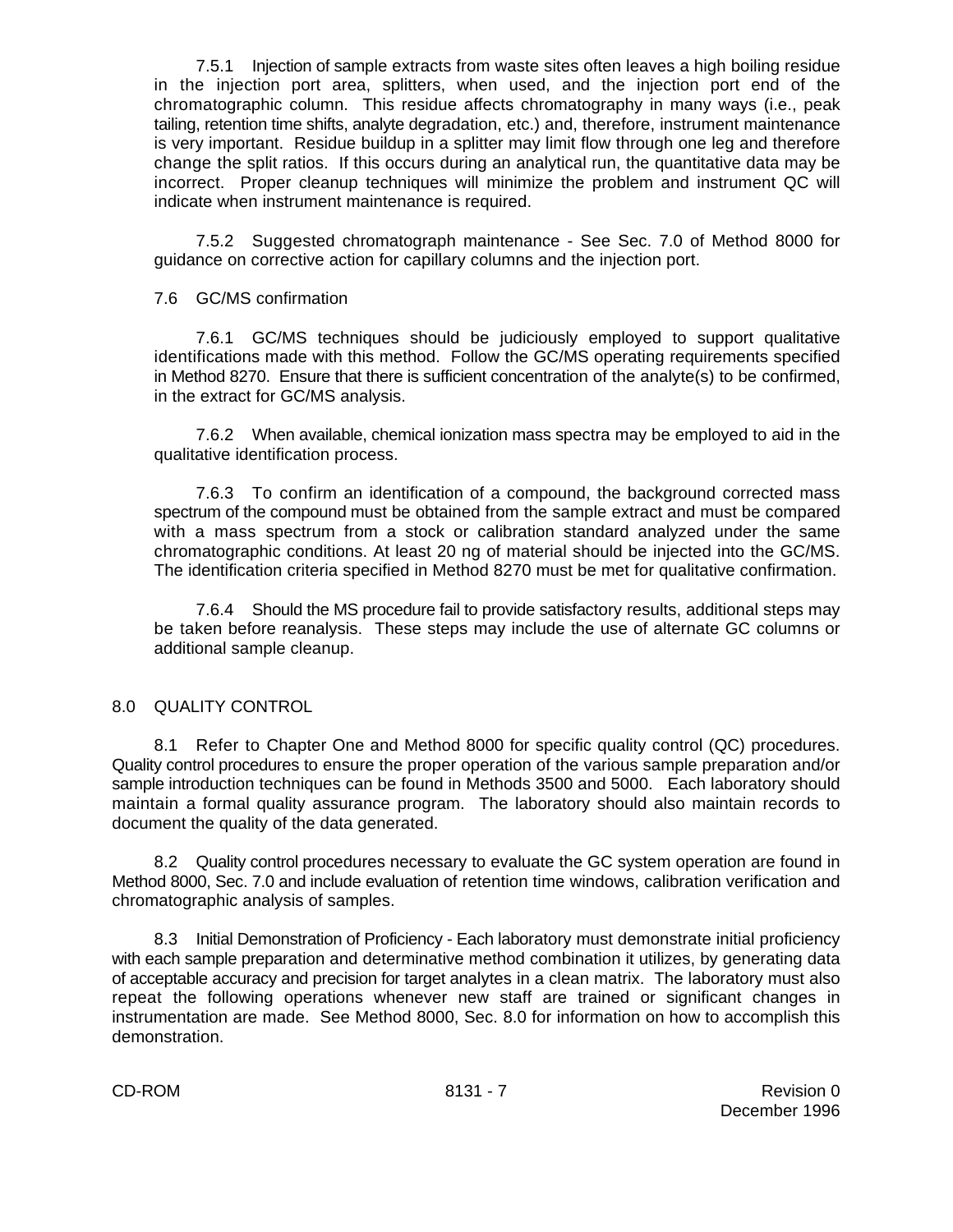7.5.1 Injection of sample extracts from waste sites often leaves a high boiling residue in the injection port area, splitters, when used, and the injection port end of the chromatographic column. This residue affects chromatography in many ways (i.e., peak tailing, retention time shifts, analyte degradation, etc.) and, therefore, instrument maintenance is very important. Residue buildup in a splitter may limit flow through one leg and therefore change the split ratios. If this occurs during an analytical run, the quantitative data may be incorrect. Proper cleanup techniques will minimize the problem and instrument QC will indicate when instrument maintenance is required.

7.5.2 Suggested chromatograph maintenance - See Sec. 7.0 of Method 8000 for guidance on corrective action for capillary columns and the injection port.

7.6 GC/MS confirmation

7.6.1 GC/MS techniques should be judiciously employed to support qualitative identifications made with this method. Follow the GC/MS operating requirements specified in Method 8270. Ensure that there is sufficient concentration of the analyte(s) to be confirmed, in the extract for GC/MS analysis.

7.6.2 When available, chemical ionization mass spectra may be employed to aid in the qualitative identification process.

7.6.3 To confirm an identification of a compound, the background corrected mass spectrum of the compound must be obtained from the sample extract and must be compared with a mass spectrum from a stock or calibration standard analyzed under the same chromatographic conditions. At least 20 ng of material should be injected into the GC/MS. The identification criteria specified in Method 8270 must be met for qualitative confirmation.

7.6.4 Should the MS procedure fail to provide satisfactory results, additional steps may be taken before reanalysis. These steps may include the use of alternate GC columns or additional sample cleanup.

#### 8.0 QUALITY CONTROL

8.1 Refer to Chapter One and Method 8000 for specific quality control (QC) procedures. Quality control procedures to ensure the proper operation of the various sample preparation and/or sample introduction techniques can be found in Methods 3500 and 5000. Each laboratory should maintain a formal quality assurance program. The laboratory should also maintain records to document the quality of the data generated.

8.2 Quality control procedures necessary to evaluate the GC system operation are found in Method 8000, Sec. 7.0 and include evaluation of retention time windows, calibration verification and chromatographic analysis of samples.

8.3 Initial Demonstration of Proficiency - Each laboratory must demonstrate initial proficiency with each sample preparation and determinative method combination it utilizes, by generating data of acceptable accuracy and precision for target analytes in a clean matrix. The laboratory must also repeat the following operations whenever new staff are trained or significant changes in instrumentation are made. See Method 8000, Sec. 8.0 for information on how to accomplish this demonstration.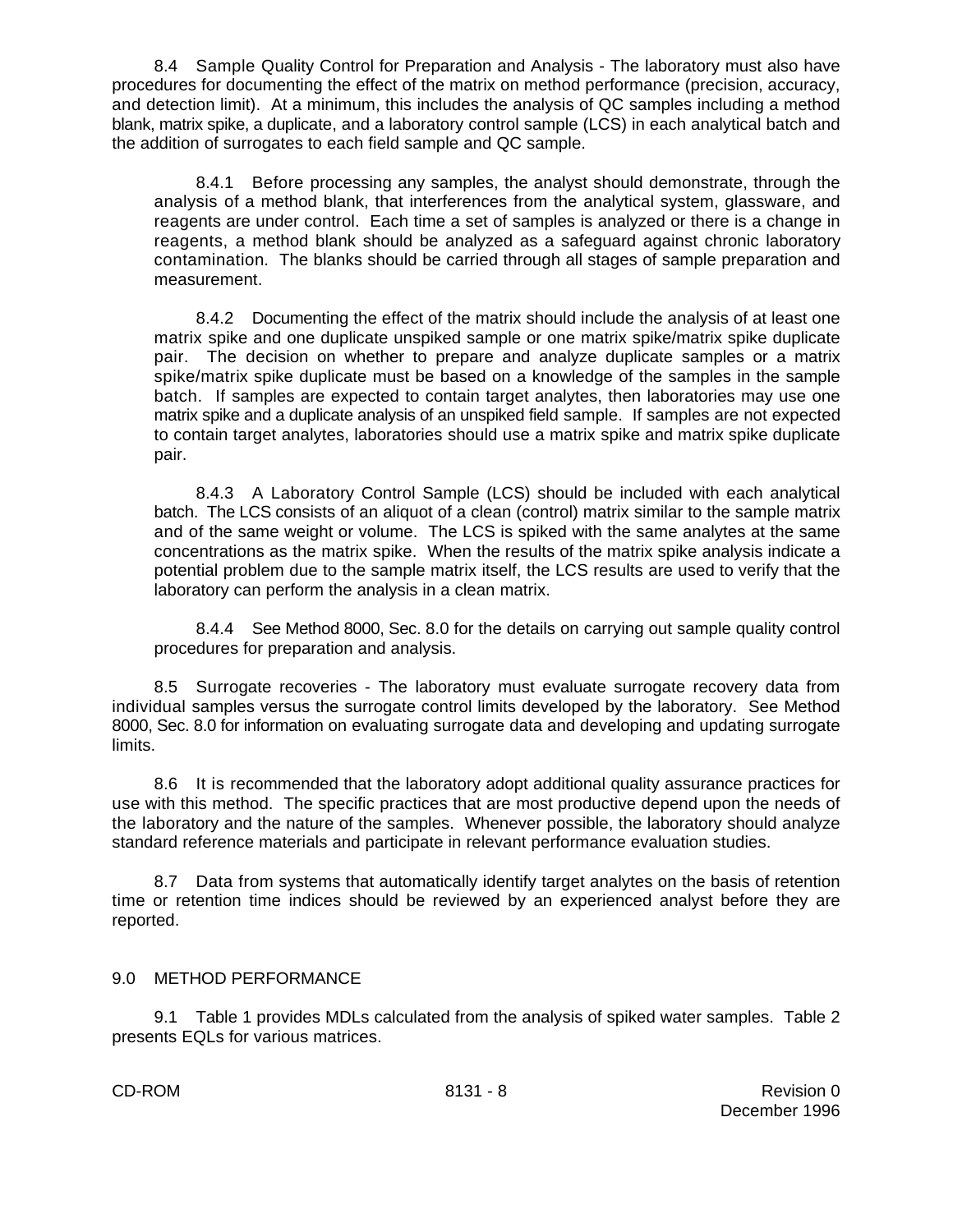8.4 Sample Quality Control for Preparation and Analysis - The laboratory must also have procedures for documenting the effect of the matrix on method performance (precision, accuracy, and detection limit). At a minimum, this includes the analysis of QC samples including a method blank, matrix spike, a duplicate, and a laboratory control sample (LCS) in each analytical batch and the addition of surrogates to each field sample and QC sample.

8.4.1 Before processing any samples, the analyst should demonstrate, through the analysis of a method blank, that interferences from the analytical system, glassware, and reagents are under control. Each time a set of samples is analyzed or there is a change in reagents, a method blank should be analyzed as a safeguard against chronic laboratory contamination. The blanks should be carried through all stages of sample preparation and measurement.

8.4.2 Documenting the effect of the matrix should include the analysis of at least one matrix spike and one duplicate unspiked sample or one matrix spike/matrix spike duplicate pair. The decision on whether to prepare and analyze duplicate samples or a matrix spike/matrix spike duplicate must be based on a knowledge of the samples in the sample batch. If samples are expected to contain target analytes, then laboratories may use one matrix spike and a duplicate analysis of an unspiked field sample. If samples are not expected to contain target analytes, laboratories should use a matrix spike and matrix spike duplicate pair.

8.4.3 A Laboratory Control Sample (LCS) should be included with each analytical batch. The LCS consists of an aliquot of a clean (control) matrix similar to the sample matrix and of the same weight or volume. The LCS is spiked with the same analytes at the same concentrations as the matrix spike. When the results of the matrix spike analysis indicate a potential problem due to the sample matrix itself, the LCS results are used to verify that the laboratory can perform the analysis in a clean matrix.

8.4.4 See Method 8000, Sec. 8.0 for the details on carrying out sample quality control procedures for preparation and analysis.

8.5 Surrogate recoveries - The laboratory must evaluate surrogate recovery data from individual samples versus the surrogate control limits developed by the laboratory. See Method 8000, Sec. 8.0 for information on evaluating surrogate data and developing and updating surrogate limits.

8.6 It is recommended that the laboratory adopt additional quality assurance practices for use with this method. The specific practices that are most productive depend upon the needs of the laboratory and the nature of the samples. Whenever possible, the laboratory should analyze standard reference materials and participate in relevant performance evaluation studies.

8.7 Data from systems that automatically identify target analytes on the basis of retention time or retention time indices should be reviewed by an experienced analyst before they are reported.

#### 9.0 METHOD PERFORMANCE

9.1 Table 1 provides MDLs calculated from the analysis of spiked water samples. Table 2 presents EQLs for various matrices.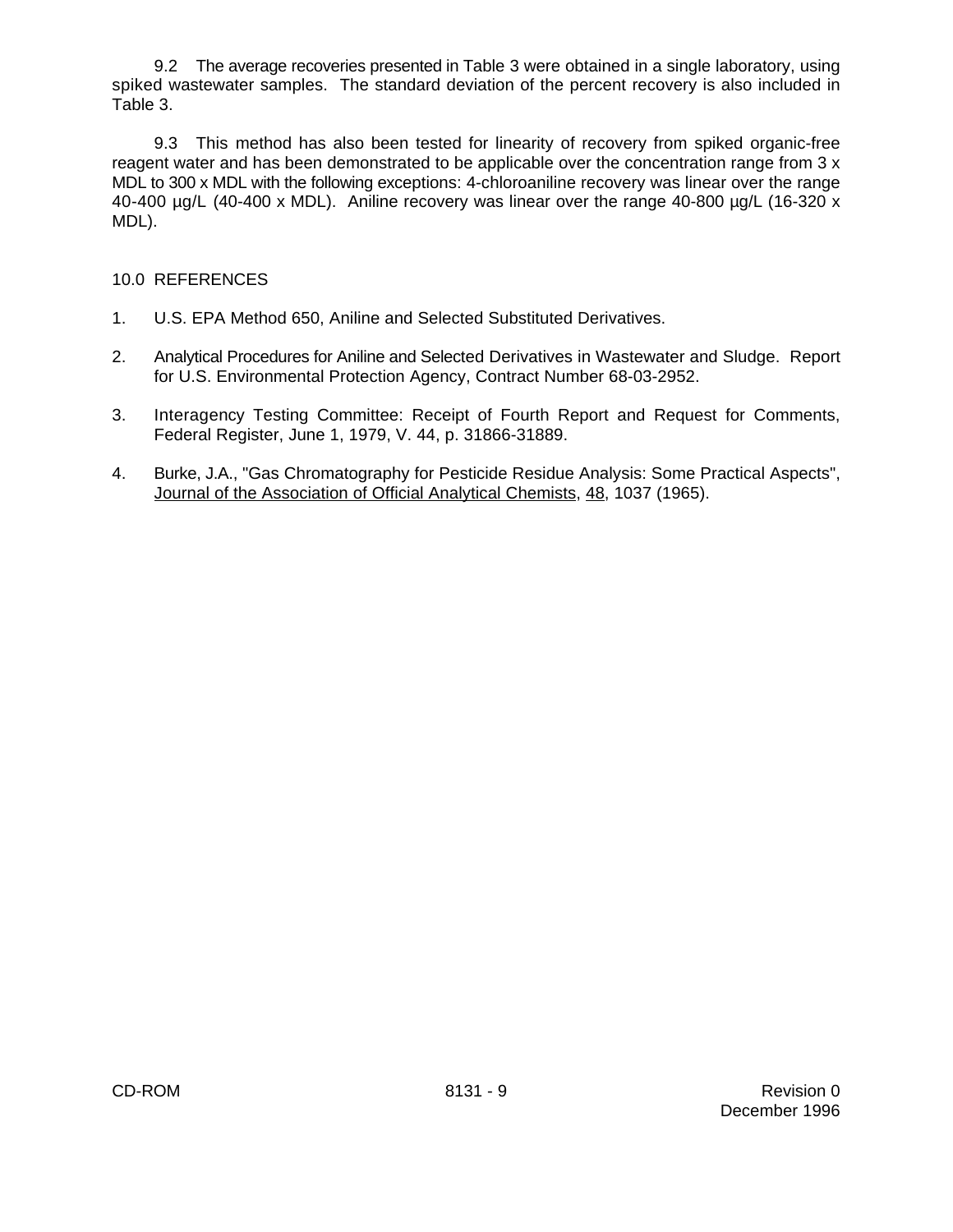9.2 The average recoveries presented in Table 3 were obtained in a single laboratory, using spiked wastewater samples. The standard deviation of the percent recovery is also included in Table 3.

9.3 This method has also been tested for linearity of recovery from spiked organic-free reagent water and has been demonstrated to be applicable over the concentration range from 3 x MDL to 300 x MDL with the following exceptions: 4-chloroaniline recovery was linear over the range 40-400  $\mu$ g/L (40-400 x MDL). Aniline recovery was linear over the range 40-800  $\mu$ g/L (16-320 x MDL).

### 10.0 REFERENCES

- 1. U.S. EPA Method 650, Aniline and Selected Substituted Derivatives.
- 2. Analytical Procedures for Aniline and Selected Derivatives in Wastewater and Sludge. Report for U.S. Environmental Protection Agency, Contract Number 68-03-2952.
- 3. Interagency Testing Committee: Receipt of Fourth Report and Request for Comments, Federal Register, June 1, 1979, V. 44, p. 31866-31889.
- 4. Burke, J.A., "Gas Chromatography for Pesticide Residue Analysis: Some Practical Aspects", Journal of the Association of Official Analytical Chemists, 48, 1037 (1965).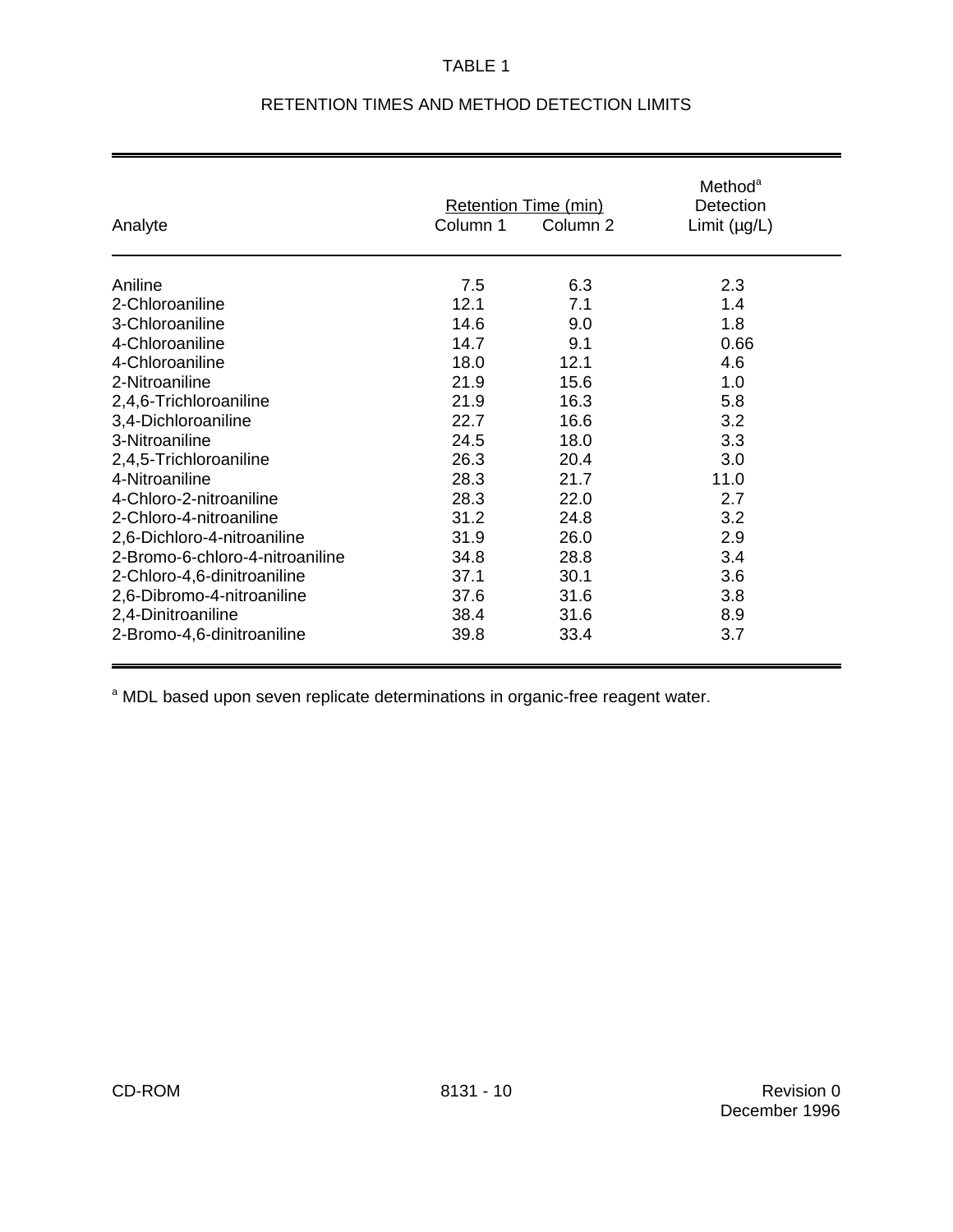#### TABLE 1

| Analyte                         | Column 1 | <b>Retention Time (min)</b><br>Column 2 | Method <sup>a</sup><br>Detection<br>Limit $(\mu g/L)$ |
|---------------------------------|----------|-----------------------------------------|-------------------------------------------------------|
|                                 |          |                                         |                                                       |
| Aniline                         | 7.5      | 6.3                                     | 2.3                                                   |
| 2-Chloroaniline                 | 12.1     | 7.1                                     | 1.4                                                   |
| 3-Chloroaniline                 | 14.6     | 9.0                                     | 1.8                                                   |
| 4-Chloroaniline                 | 14.7     | 9.1                                     | 0.66                                                  |
| 4-Chloroaniline                 | 18.0     | 12.1                                    | 4.6                                                   |
| 2-Nitroaniline                  | 21.9     | 15.6                                    | 1.0                                                   |
| 2,4,6-Trichloroaniline          | 21.9     | 16.3                                    | 5.8                                                   |
| 3,4-Dichloroaniline             | 22.7     | 16.6                                    | 3.2                                                   |
| 3-Nitroaniline                  | 24.5     | 18.0                                    | 3.3                                                   |
| 2,4,5-Trichloroaniline          | 26.3     | 20.4                                    | 3.0                                                   |
| 4-Nitroaniline                  | 28.3     | 21.7                                    | 11.0                                                  |
| 4-Chloro-2-nitroaniline         | 28.3     | 22.0                                    | 2.7                                                   |
| 2-Chloro-4-nitroaniline         | 31.2     | 24.8                                    | 3.2                                                   |
| 2,6-Dichloro-4-nitroaniline     | 31.9     | 26.0                                    | 2.9                                                   |
| 2-Bromo-6-chloro-4-nitroaniline | 34.8     | 28.8                                    | 3.4                                                   |
| 2-Chloro-4,6-dinitroaniline     | 37.1     | 30.1                                    | 3.6                                                   |
| 2,6-Dibromo-4-nitroaniline      | 37.6     | 31.6                                    | 3.8                                                   |
| 2,4-Dinitroaniline              | 38.4     | 31.6                                    | 8.9                                                   |
| 2-Bromo-4,6-dinitroaniline      | 39.8     | 33.4                                    | 3.7                                                   |

# RETENTION TIMES AND METHOD DETECTION LIMITS

<sup>a</sup> MDL based upon seven replicate determinations in organic-free reagent water.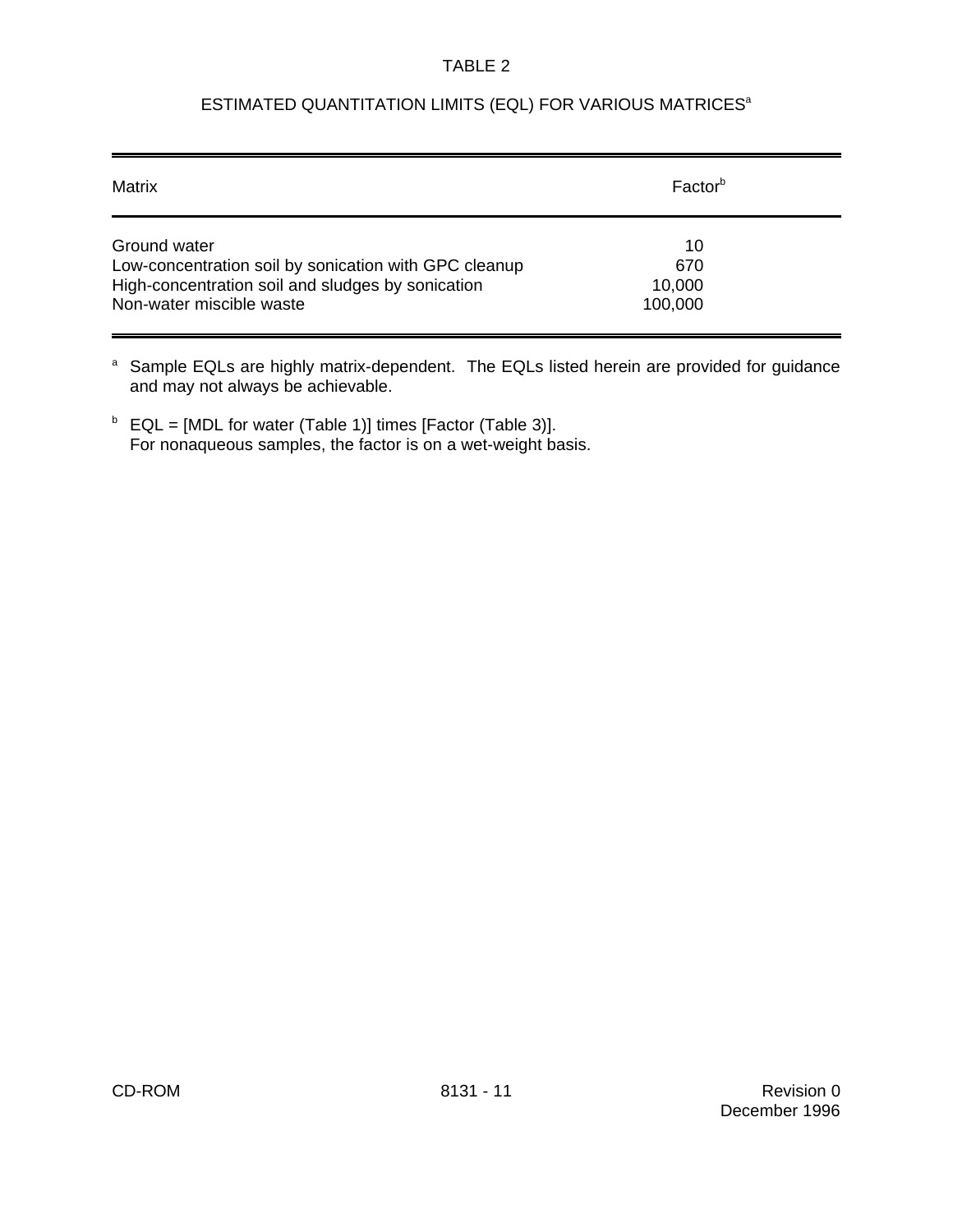#### TABLE 2

# ESTIMATED QUANTITATION LIMITS (EQL) FOR VARIOUS MATRICES<sup>a</sup>

| Matrix                                                | Factor <sup>b</sup> |
|-------------------------------------------------------|---------------------|
| Ground water                                          | 10                  |
| Low-concentration soil by sonication with GPC cleanup | 670                 |
| High-concentration soil and sludges by sonication     | 10,000              |
| Non-water miscible waste                              | 100,000             |

<sup>a</sup> Sample EQLs are highly matrix-dependent. The EQLs listed herein are provided for guidance and may not always be achievable.

 $E_{\text{L}} = [MDL \text{ for water (Table 1)}]$  times [Factor (Table 3)]. For nonaqueous samples, the factor is on a wet-weight basis.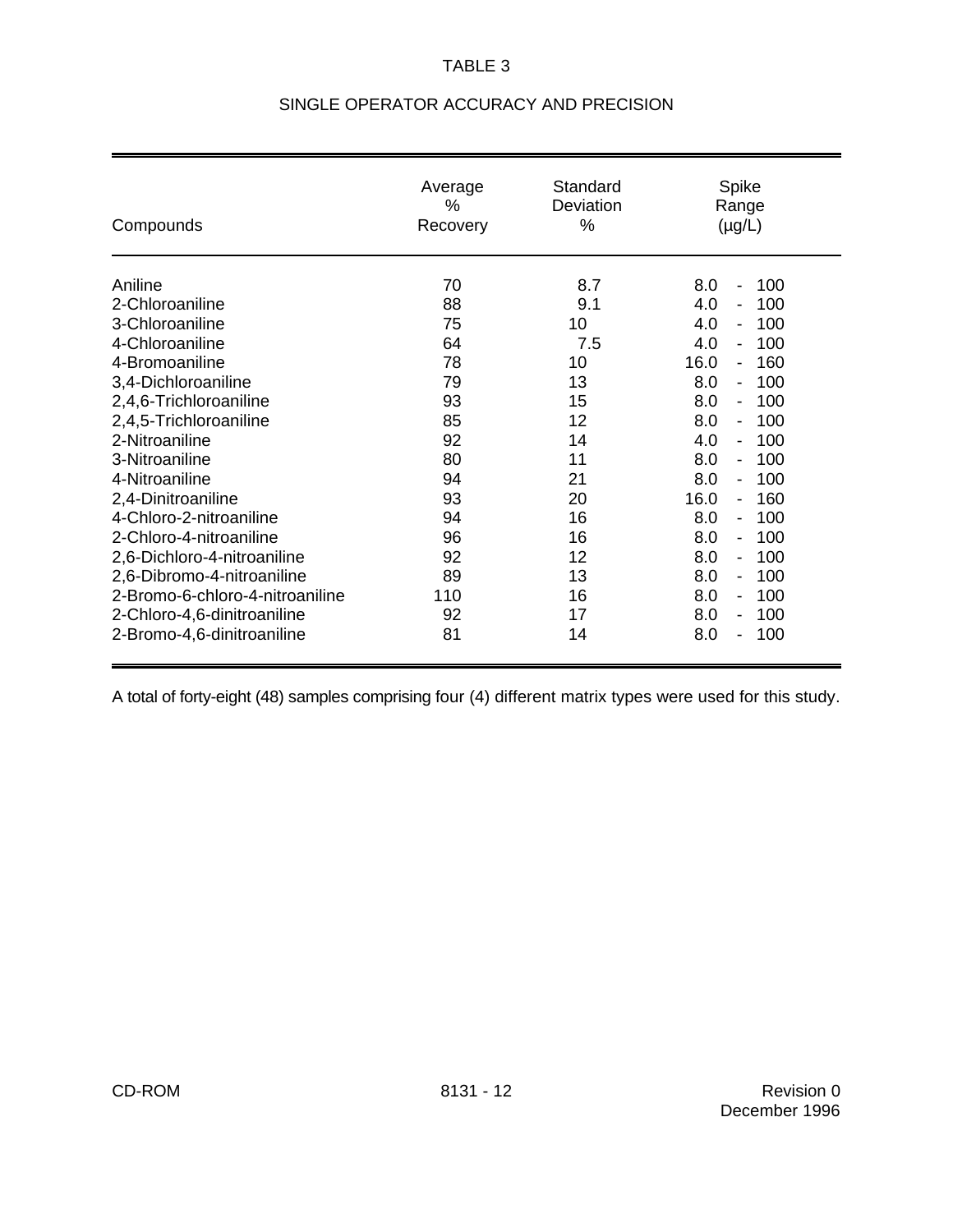# TABLE 3

| Compounds                       | Average<br>$\%$<br>Recovery | Standard<br>Deviation<br>% | Spike<br>Range<br>$(\mu g/L)$              |
|---------------------------------|-----------------------------|----------------------------|--------------------------------------------|
| Aniline                         | 70                          | 8.7                        | 100<br>8.0<br>$\overline{\phantom{a}}$     |
| 2-Chloroaniline                 | 88                          | 9.1                        | 100<br>4.0                                 |
| 3-Chloroaniline                 | 75                          | 10                         | 100<br>4.0                                 |
| 4-Chloroaniline                 | 64                          | 7.5                        | 100<br>4.0<br>$\overline{\phantom{a}}$     |
| 4-Bromoaniline                  | 78                          | 10                         | 16.0<br>160<br>$\qquad \qquad -$           |
| 3,4-Dichloroaniline             | 79                          | 13                         | 100<br>8.0<br>$\qquad \qquad \blacksquare$ |
| 2,4,6-Trichloroaniline          | 93                          | 15                         | 100<br>8.0<br>$\overline{\phantom{a}}$     |
| 2,4,5-Trichloroaniline          | 85                          | 12                         | 100<br>8.0<br>$\overline{\phantom{a}}$     |
| 2-Nitroaniline                  | 92                          | 14                         | 100<br>4.0                                 |
| 3-Nitroaniline                  | 80                          | 11                         | 8.0<br>100<br>$\overline{\phantom{a}}$     |
| 4-Nitroaniline                  | 94                          | 21                         | 8.0<br>100<br>$\overline{\phantom{a}}$     |
| 2,4-Dinitroaniline              | 93                          | 20                         | 16.0<br>160<br>$\qquad \qquad -$           |
| 4-Chloro-2-nitroaniline         | 94                          | 16                         | 100<br>8.0<br>$\overline{\phantom{a}}$     |
| 2-Chloro-4-nitroaniline         | 96                          | 16                         | 8.0<br>100<br>$\blacksquare$               |
| 2,6-Dichloro-4-nitroaniline     | 92                          | 12                         | 8.0<br>100<br>$\qquad \qquad \blacksquare$ |
| 2,6-Dibromo-4-nitroaniline      | 89                          | 13                         | 100<br>8.0<br>$\overline{\phantom{a}}$     |
| 2-Bromo-6-chloro-4-nitroaniline | 110                         | 16                         | 8.0<br>100<br>$\overline{\phantom{a}}$     |
| 2-Chloro-4,6-dinitroaniline     | 92                          | 17                         | 8.0<br>100<br>$\overline{\phantom{a}}$     |
| 2-Bromo-4,6-dinitroaniline      | 81                          | 14                         | 100<br>8.0                                 |

# SINGLE OPERATOR ACCURACY AND PRECISION

A total of forty-eight (48) samples comprising four (4) different matrix types were used for this study.